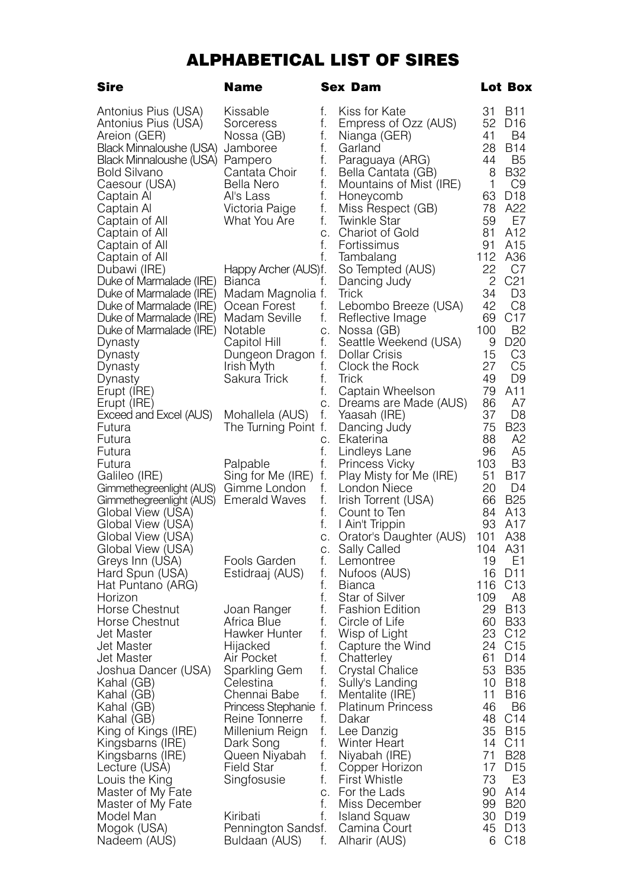## ALPHABETICAL LIST OF SIRES

| Sire                                      | Name                                 |          | Sex Dam                                   |           | Lot Box                            |
|-------------------------------------------|--------------------------------------|----------|-------------------------------------------|-----------|------------------------------------|
| Antonius Pius (USA)                       | Kissable                             | f.       | Kiss for Kate                             | 31        | <b>B11</b>                         |
| Antonius Pius (USA)                       | Sorceress                            | f.       | Empress of Ozz (AUS)                      | 52        | D <sub>16</sub>                    |
| Areion (GER)<br>Black Minnaloushe (USA)   | Nossa (GB)                           | t.<br>f. | Nianga (GER)<br>Garland                   | 41<br>28  | B4<br><b>B14</b>                   |
| Black Minnaloushe (USA) Pampero           | Jamboree                             | f.       | Paraguaya (ARG)                           | 44        | B <sub>5</sub>                     |
| <b>Bold Silvano</b>                       | Cantata Choir                        | f.       | Bella Cantata (GB)                        | 8         | <b>B32</b>                         |
| Caesour (USA)                             | Bella Nero                           | f.       | Mountains of Mist (IRE)                   | 1         | C <sub>9</sub>                     |
| Captain Al                                | Al's Lass                            | f.       | Honeycomb                                 | 63        | D <sub>18</sub>                    |
| Captain Al                                | Victoria Paige                       | f.       | Miss Respect (GB)                         | 78        | A22                                |
| Captain of All                            | What You Are                         | f.       | Twinkle Star                              | 59        | E7                                 |
| Captain of All                            |                                      | C.       | Chariot of Gold                           | 81        | A12                                |
| Captain of All                            |                                      | f.       | Fortissimus                               | 91        | A15                                |
| Captain of All                            |                                      | f.       | Tambalang                                 | 112<br>22 | A36<br>C7                          |
| Dubawi (IRE)<br>Duke of Marmalade (IRE)   | Happy Archer (AUS)f.<br>Bianca       | t.       | So Tempted (AUS)<br>Dancing Judy          | 2         | C <sub>21</sub>                    |
| Duke of Marmalade (IRE)                   | Madam Magnolia f.                    |          | Trick                                     | 34        | D3                                 |
| Duke of Marmalade (IRE)                   | Ocean Forest                         | f.       | Lebombo Breeze (USA)                      | 42        | C8                                 |
| Duke of Marmalade (IRE)                   | Madam Seville                        | f.       | Reflective Image                          | 69        | C <sub>17</sub>                    |
| Duke of Marmalade (IRE)                   | Notable                              | С.       | Nossa (GB)                                | 100       | <b>B2</b>                          |
| Dynasty                                   | Capitol Hill                         | f.       | Seattle Weekend (USA)                     | 9         | D <sub>20</sub>                    |
| Dynasty                                   | Dungeon Dragon f.                    |          | Dollar Crisis                             | 15        | CЗ                                 |
| Dynasty                                   | Irish Myth                           | f.       | Clock the Rock                            | 27        | C5                                 |
| Dynasty                                   | Sakura Trick                         | t.<br>f. | Trick                                     | 49<br>79  | D <sub>9</sub><br>A11              |
| Erupt (IRE)<br>Erupt (IRE)                |                                      | C.       | Captain Wheelson<br>Dreams are Made (AUS) | 86        | A7                                 |
| Exceed and Excel (AUS)                    | Mohallela (AUS)                      | f.       | Yaasah (IRE)                              | 37        | D8                                 |
| Futura                                    | The Turning Point f.                 |          | Dancing Judy                              | 75        | <b>B23</b>                         |
| Futura                                    |                                      | С.       | Ekaterina                                 | 88        | A2                                 |
| Futura                                    |                                      | f.       | Lindleys Lane                             | 96        | A5                                 |
| Futura                                    | Palpable                             | f.       | Princess Vicky                            | 103       | B3                                 |
| Galileo (IRE)<br>Gimmethegreenlight (AUS) | Sing for Me (IRE) f.<br>Gimme London | f.       | Play Misty for Me (IRE)<br>London Niece   | 51<br>20  | B17<br>D4                          |
| Gimmethegreenlight (AUS)                  | <b>Emerald Waves</b>                 | f.       | Irish Torrent (USA)                       | 66        | <b>B25</b>                         |
| Global View (USA)                         |                                      | f.       | Count to Ten                              | 84        | A <sub>13</sub>                    |
| Global View (USA)                         |                                      | f.       | I Ain't Trippin                           | 93        | A17                                |
| Global View (USA)                         |                                      | С.       | Orator's Daughter (AUS)                   | 101       | A38                                |
| Global View (USA)                         |                                      | С.       | Sally Called                              | 104       | A31                                |
| Greys Inn (USA)                           | Fools Garden                         | f.       | Lemontree                                 | 19        | E1                                 |
| Hard Spun (USA)<br>Hat Puntano (ARG)      | Estidraaj (AUS)                      | f.<br>f. | Nufoos (AUS)<br>Bianca                    | 16<br>116 | D <sub>11</sub><br>C <sub>13</sub> |
| Horizon                                   |                                      | f.       | Star of Silver                            | 109       | A8                                 |
| Horse Chestnut                            | Joan Ranger                          | f.       | Fashion Edition                           | 29        | <b>B13</b>                         |
| Horse Chestnut                            | Africa Blue                          | f.       | Circle of Life                            | 60        | <b>B33</b>                         |
| Jet Master                                | Hawker Hunter                        | f.       | Wisp of Light                             | 23        | C <sub>12</sub>                    |
| Jet Master                                | Hijacked                             | f.       | Capture the Wind                          | 24        | C <sub>15</sub>                    |
| Jet Master                                | Air Pocket                           | f.<br>f. | Chatterley                                | 61<br>53  | D <sub>14</sub><br><b>B35</b>      |
| Joshua Dancer (USA)<br>Kahal (GB)         | Sparkling Gem<br>Celestina           | f.       | Crystal Chalice<br>Sully's Landing        | 10        | <b>B18</b>                         |
| Kahal (GB)                                | Chennai Babe                         | f.       | Mentalite (IRE)                           | 11        | B16                                |
| Kahal (GB)                                | Princess Stephanie f.                |          | <b>Platinum Princess</b>                  | 46        | B <sub>6</sub>                     |
| Kahal (GB)                                | Reine Tonnerre                       | f.       | Dakar                                     | 48        | C14                                |
| King of Kings (IRE)                       | Millenium Reign                      | f.       | Lee Danzig                                | 35        | <b>B15</b>                         |
| Kingsbarns (IRE)                          | Dark Song                            | f.       | Winter Heart                              | 14        | C11                                |
| Kingsbarns (IRE)                          | Queen Niyabah                        | f.       | Niyabah (IRE)                             | 71        | <b>B28</b><br>D <sub>15</sub>      |
| Lecture (USA)<br>Louis the King           | Field Star<br>Singfosusie            | t.<br>f. | Copper Horizon<br><b>First Whistle</b>    | 17<br>73  | E3                                 |
| Master of My Fate                         |                                      | C.       | For the Lads                              | 90        | A14                                |
| Master of My Fate                         |                                      | f.       | Miss December                             | 99        | <b>B20</b>                         |
| Model Man                                 | Kiribati                             | f.       | <b>Island Squaw</b>                       |           | 30 D19                             |
| Mogok (USA)                               | Pennington Sandsf.                   |          | Camina Court                              | 45        | D <sub>13</sub>                    |
| Nadeem (AUS)                              | Buldaan (AUS)                        | f.       | Alharir (AUS)                             |           | 6 C18                              |